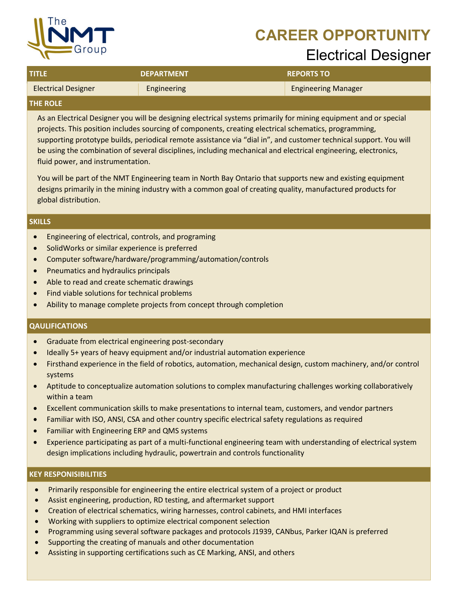# **CAREER OPPORTUNITY**



# Electrical Designer

| <b>TITLE</b>               | <b>DEPARTMENT</b> | <b>REPORTS TO</b>          |
|----------------------------|-------------------|----------------------------|
| <b>Electrical Designer</b> | Engineering       | <b>Engineering Manager</b> |
| <b>PURALE</b>              |                   |                            |

### **THE ROLE**

As an Electrical Designer you will be designing electrical systems primarily for mining equipment and or special projects. This position includes sourcing of components, creating electrical schematics, programming, supporting prototype builds, periodical remote assistance via "dial in", and customer technical support. You will be using the combination of several disciplines, including mechanical and electrical engineering, electronics, fluid power, and instrumentation.

You will be part of the NMT Engineering team in North Bay Ontario that supports new and existing equipment designs primarily in the mining industry with a common goal of creating quality, manufactured products for global distribution.

### **SKILLS**

- Engineering of electrical, controls, and programing
- SolidWorks or similar experience is preferred
- Computer software/hardware/programming/automation/controls
- Pneumatics and hydraulics principals
- Able to read and create schematic drawings
- Find viable solutions for technical problems
- Ability to manage complete projects from concept through completion

# **QAULIFICATIONS**

- Graduate from electrical engineering post-secondary
- Ideally 5+ years of heavy equipment and/or industrial automation experience
- Firsthand experience in the field of robotics, automation, mechanical design, custom machinery, and/or control systems
- Aptitude to conceptualize automation solutions to complex manufacturing challenges working collaboratively within a team
- Excellent communication skills to make presentations to internal team, customers, and vendor partners
- Familiar with ISO, ANSI, CSA and other country specific electrical safety regulations as required
- Familiar with Engineering ERP and QMS systems
- Experience participating as part of a multi-functional engineering team with understanding of electrical system design implications including hydraulic, powertrain and controls functionality

# **KEY RESPONISIBILITIES**

- Primarily responsible for engineering the entire electrical system of a project or product
- Assist engineering, production, RD testing, and aftermarket support
- Creation of electrical schematics, wiring harnesses, control cabinets, and HMI interfaces
- Working with suppliers to optimize electrical component selection
- Programming using several software packages and protocols J1939, CANbus, Parker IQAN is preferred
- Supporting the creating of manuals and other documentation
- Assisting in supporting certifications such as CE Marking, ANSI, and others